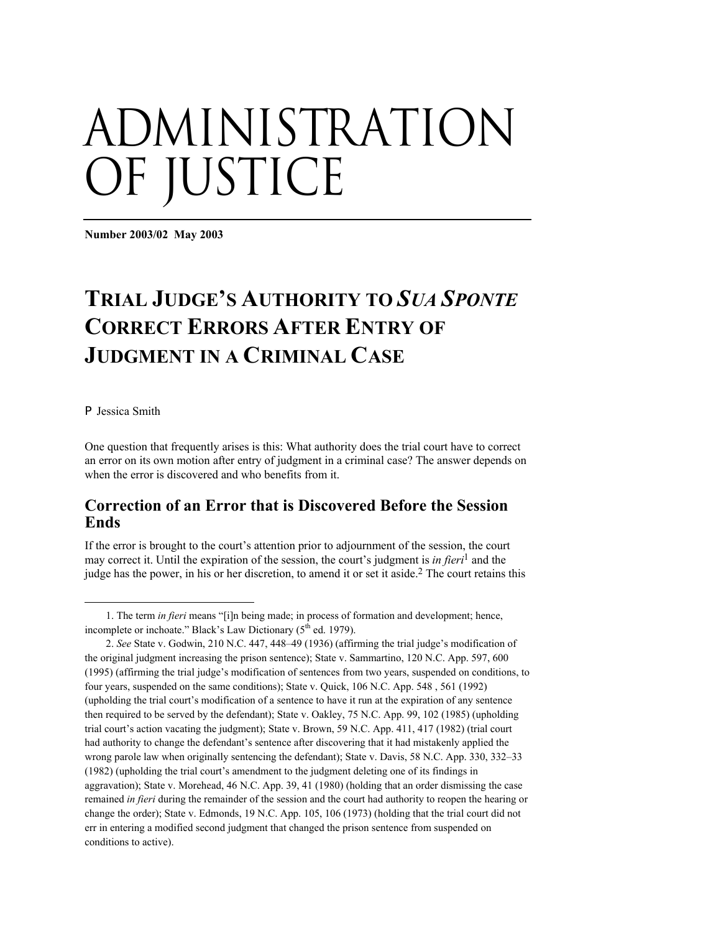# administration OF JUSTICE

**Number 2003/02 May 2003** 

# **TRIAL JUDGE'S AUTHORITY TO** *SUA SPONTE*  **CORRECT ERRORS AFTER ENTRY OF JUDGMENT IN A CRIMINAL CASE**

#### $\blacktriangleright$  Jessica Smith

1

One question that frequently arises is this: What authority does the trial court have to correct an error on its own motion after entry of judgment in a criminal case? The answer depends on when the error is discovered and who benefits from it.

## **Correction of an Error that is Discovered Before the Session Ends**

If the error is brought to the court's attention prior to adjournment of the session, the court may correct it. Until the expiration of the session, the court's judgment is *in fieri*[1 a](#page-0-0)nd the judge has the power, in his or her discretion, to amend it or set it aside.[2 T](#page-0-1)he court retains this

<span id="page-0-0"></span><sup>1.</sup> The term *in fieri* means "[i]n being made; in process of formation and development; hence, incomplete or inchoate." Black's Law Dictionary  $(5^{th}$  ed. 1979).

<span id="page-0-1"></span><sup>2.</sup> *See* State v. Godwin, 210 N.C. 447, 448–49 (1936) (affirming the trial judge's modification of the original judgment increasing the prison sentence); State v. Sammartino, 120 N.C. App. 597, 600 (1995) (affirming the trial judge's modification of sentences from two years, suspended on conditions, to four years, suspended on the same conditions); State v. Quick, 106 N.C. App. 548 , 561 (1992) (upholding the trial court's modification of a sentence to have it run at the expiration of any sentence then required to be served by the defendant); State v. Oakley, 75 N.C. App. 99, 102 (1985) (upholding trial court's action vacating the judgment); State v. Brown, 59 N.C. App. 411, 417 (1982) (trial court had authority to change the defendant's sentence after discovering that it had mistakenly applied the wrong parole law when originally sentencing the defendant); State v. Davis, 58 N.C. App. 330, 332–33 (1982) (upholding the trial court's amendment to the judgment deleting one of its findings in aggravation); State v. Morehead, 46 N.C. App. 39, 41 (1980) (holding that an order dismissing the case remained *in fieri* during the remainder of the session and the court had authority to reopen the hearing or change the order); State v. Edmonds, 19 N.C. App. 105, 106 (1973) (holding that the trial court did not err in entering a modified second judgment that changed the prison sentence from suspended on conditions to active).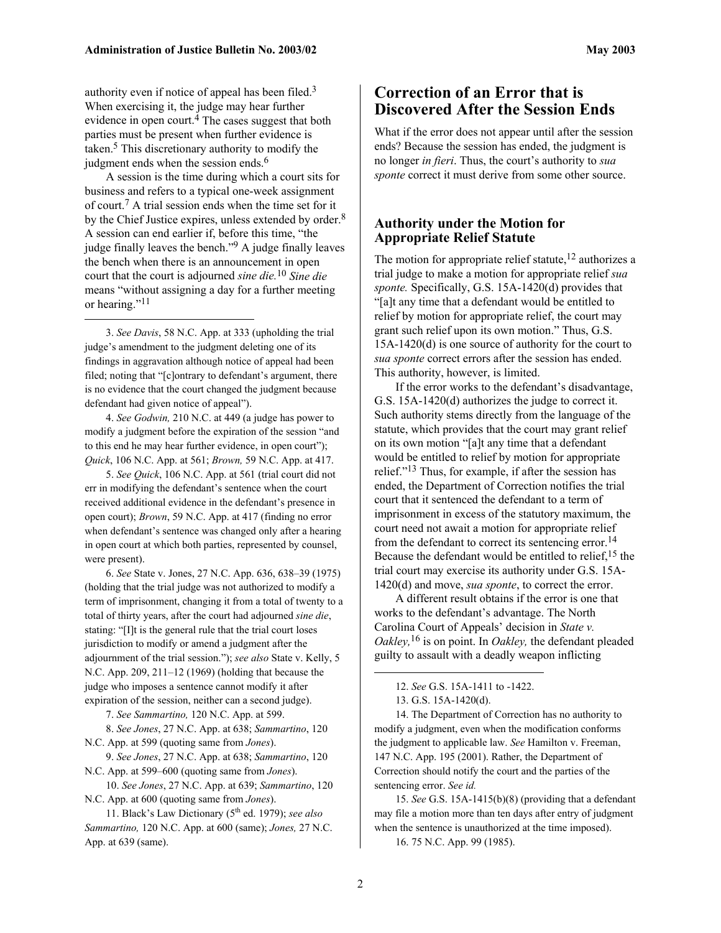authority even if notice of appeal has been filed[.3](#page-1-0) When exercising it, the judge may hear further evidence in open court.<sup>4</sup> The cases suggest that both parties must be present when further evidence is taken[.5 T](#page-1-2)his discretionary authority to modify the judgment ends when the session ends.<sup>[6](#page-1-3)</sup>

A session is the time during which a court sits for business and refers to a typical one-week assignment of court. [7](#page-1-4) A trial session ends when the time set for it by the Chief Justice expires, unless extended by order.<sup>[8](#page-1-5)</sup> A session can end earlier if, before this time, "the judge finally leaves the bench."[9](#page-1-6) A judge finally leaves the bench when there is an announcement in open court that the court is adjourned *sine die.*[10](#page-1-7) *Sine die* means "without assigning a day for a further meeting or hearing."<sup>[11](#page-1-8)</sup>

<span id="page-1-0"></span>3. *See Davis*, 58 N.C. App. at 333 (upholding the trial judge's amendment to the judgment deleting one of its findings in aggravation although notice of appeal had been filed; noting that "[c]ontrary to defendant's argument, there is no evidence that the court changed the judgment because defendant had given notice of appeal").

1

<span id="page-1-1"></span>4. *See Godwin,* 210 N.C. at 449 (a judge has power to modify a judgment before the expiration of the session "and to this end he may hear further evidence, in open court"); *Quick*, 106 N.C. App. at 561; *Brown,* 59 N.C. App. at 417.

<span id="page-1-2"></span>5. *See Quick*, 106 N.C. App. at 561 (trial court did not err in modifying the defendant's sentence when the court received additional evidence in the defendant's presence in open court); *Brown*, 59 N.C. App. at 417 (finding no error when defendant's sentence was changed only after a hearing in open court at which both parties, represented by counsel, were present).

<span id="page-1-3"></span>6. *See* State v. Jones, 27 N.C. App. 636, 638–39 (1975) (holding that the trial judge was not authorized to modify a term of imprisonment, changing it from a total of twenty to a total of thirty years, after the court had adjourned *sine die*, stating: "[I]t is the general rule that the trial court loses jurisdiction to modify or amend a judgment after the adjournment of the trial session."); *see also* State v. Kelly, 5 N.C. App. 209, 211–12 (1969) (holding that because the judge who imposes a sentence cannot modify it after expiration of the session, neither can a second judge).

<span id="page-1-5"></span><span id="page-1-4"></span>7. *See Sammartino,* 120 N.C. App. at 599.

8. *See Jones*, 27 N.C. App. at 638; *Sammartino*, 120 N.C. App. at 599 (quoting same from *Jones*).

<span id="page-1-6"></span>9. *See Jones*, 27 N.C. App. at 638; *Sammartino*, 120 N.C. App. at 599–600 (quoting same from *Jones*).

<span id="page-1-7"></span>10. *See Jones*, 27 N.C. App. at 639; *Sammartino*, 120 N.C. App. at 600 (quoting same from *Jones*).

## **Correction of an Error that is Discovered After the Session Ends**

What if the error does not appear until after the session ends? Because the session has ended, the judgment is no longer *in fieri*. Thus, the court's authority to *sua sponte* correct it must derive from some other source.

#### **Authority under the Motion for Appropriate Relief Statute**

The motion for appropriate relief statute,<sup>12</sup> authorizes a trial judge to make a motion for appropriate relief *sua sponte.* Specifically, G.S. 15A-1420(d) provides that "[a]t any time that a defendant would be entitled to relief by motion for appropriate relief, the court may grant such relief upon its own motion." Thus, G.S. 15A-1420(d) is one source of authority for the court to *sua sponte* correct errors after the session has ended. This authority, however, is limited.

If the error works to the defendant's disadvantage, G.S. 15A-1420(d) authorizes the judge to correct it. Such authority stems directly from the language of the statute, which provides that the court may grant relief on its own motion "[a]t any time that a defendant would be entitled to relief by motion for appropriate relief.["13 T](#page-1-10)hus, for example, if after the session has ended, the Department of Correction notifies the trial court that it sentenced the defendant to a term of imprisonment in excess of the statutory maximum, the court need not await a motion for appropriate relief from the defendant to correct its sentencing error.<sup>[14](#page-1-11)</sup> Because the defendant would be entitled to relief,  $15$  the trial court may exercise its authority under G.S. 15A-1420(d) and move, *sua sponte*, to correct the error.

A different result obtains if the error is one that works to the defendant's advantage. The North Carolina Court of Appeals' decision in *State v. Oakley,*[16](#page-1-13) is on point. In *Oakley,* the defendant pleaded guilty to assault with a deadly weapon inflicting

14. The Department of Correction has no authority to modify a judgment, even when the modification conforms the judgment to applicable law. *See* Hamilton v. Freeman, 147 N.C. App. 195 (2001). Rather, the Department of Correction should notify the court and the parties of the sentencing error. *See id.* 

<span id="page-1-12"></span>15. *See* G.S. 15A-1415(b)(8) (providing that a defendant may file a motion more than ten days after entry of judgment when the sentence is unauthorized at the time imposed).

<span id="page-1-13"></span>16. 75 N.C. App. 99 (1985).

<span id="page-1-8"></span><sup>11.</sup> Black's Law Dictionary (5th ed. 1979); *see also Sammartino,* 120 N.C. App. at 600 (same); *Jones,* 27 N.C. App. at 639 (same).

<span id="page-1-9"></span><sup>12.</sup> *See* G.S. 15A-1411 to -1422.

<span id="page-1-11"></span><span id="page-1-10"></span><sup>13.</sup> G.S. 15A-1420(d).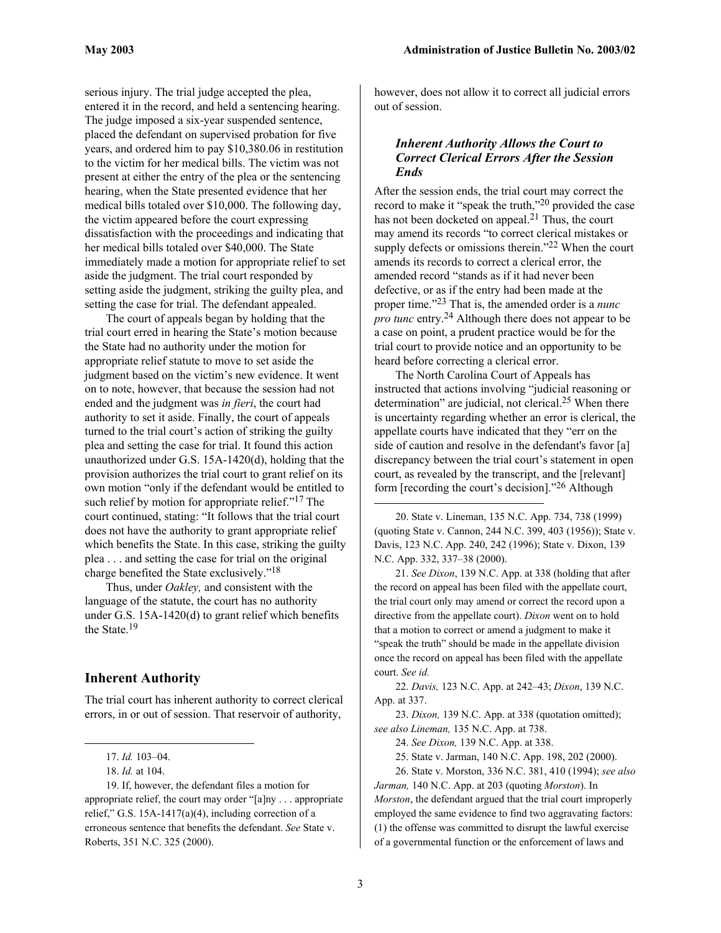<span id="page-2-9"></span>serious injury. The trial judge accepted the plea, entered it in the record, and held a sentencing hearing. The judge imposed a six-year suspended sentence, placed the defendant on supervised probation for five years, and ordered him to pay \$10,380.06 in restitution to the victim for her medical bills. The victim was not present at either the entry of the plea or the sentencing hearing, when the State presented evidence that her medical bills totaled over \$10,000. The following day, the victim appeared before the court expressing dissatisfaction with the proceedings and indicating that her medical bills totaled over \$40,000. The State immediately made a motion for appropriate relief to set aside the judgment. The trial court responded by setting aside the judgment, striking the guilty plea, and setting the case for trial. The defendant appealed.

The court of appeals began by holding that the trial court erred in hearing the State's motion because the State had no authority under the motion for appropriate relief statute to move to set aside the judgment based on the victim's new evidence. It went on to note, however, that because the session had not ended and the judgment was *in fieri*, the court had authority to set it aside. Finally, the court of appeals turned to the trial court's action of striking the guilty plea and setting the case for trial. It found this action unauthorized under G.S. 15A-1420(d), holding that the provision authorizes the trial court to grant relief on its own motion "only if the defendant would be entitled to such relief by motion for appropriate relief."<sup>17</sup> The court continued, stating: "It follows that the trial court does not have the authority to grant appropriate relief which benefits the State. In this case, striking the guilty plea . . . and setting the case for trial on the original charge benefited the State exclusively.["18](#page-2-1)

Thus, under *Oakley,* and consistent with the language of the statute, the court has no authority under G.S. 15A-1420(d) to grant relief which benefits the State.[19](#page-2-2)

#### **Inherent Authority**

The trial court has inherent authority to correct clerical errors, in or out of session. That reservoir of authority,

 $\overline{a}$ 

19. If, however, the defendant files a motion for appropriate relief, the court may order "[a]ny . . . appropriate relief," G.S. 15A-1417(a)(4), including correction of a erroneous sentence that benefits the defendant. *See* State v. Roberts, 351 N.C. 325 (2000).

however, does not allow it to correct all judicial errors out of session.

#### *Inherent Authority Allows the Court to Correct Clerical Errors After the Session Ends*

After the session ends, the trial court may correct the record to make it "speak the truth,"[20 p](#page-2-3)rovided the case has not been docketed on appeal.<sup>21</sup> Thus, the court may amend its records "to correct clerical mistakes or supply defects or omissions therein."<sup>22</sup> When the court amends its records to correct a clerical error, the amended record "stands as if it had never been defective, or as if the entry had been made at the proper time.["23 T](#page-2-6)hat is, the amended order is a *nunc pro tunc* entry[.24 A](#page-2-7)lthough there does not appear to be a case on point, a prudent practice would be for the trial court to provide notice and an opportunity to be heard before correcting a clerical error.

The North Carolina Court of Appeals has instructed that actions involving "judicial reasoning or determination" are judicial, not clerical.<sup>25</sup> When there is uncertainty regarding whether an error is clerical, the appellate courts have indicated that they "err on the side of caution and resolve in the defendant's favor [a] discrepancy between the trial court's statement in open court, as revealed by the transcript, and the [relevant] form [recording the court's decision]."[26 A](#page-2-9)lthough

<span id="page-2-3"></span>20. State v. Lineman, 135 N.C. App. 734, 738 (1999) (quoting State v. Cannon, 244 N.C. 399, 403 (1956)); State v. Davis, 123 N.C. App. 240, 242 (1996); State v. Dixon, 139 N.C. App. 332, 337–38 (2000).

<span id="page-2-4"></span>21. *See Dixon*, 139 N.C. App. at 338 (holding that after the record on appeal has been filed with the appellate court, the trial court only may amend or correct the record upon a directive from the appellate court). *Dixon* went on to hold that a motion to correct or amend a judgment to make it "speak the truth" should be made in the appellate division once the record on appeal has been filed with the appellate court. *See id.*

<span id="page-2-5"></span>22. *Davis,* 123 N.C. App. at 242–43; *Dixon*, 139 N.C. App. at 337.

<span id="page-2-6"></span>23. *Dixon,* 139 N.C. App. at 338 (quotation omitted); *see also Lineman,* 135 N.C. App. at 738.

<span id="page-2-7"></span>24. *See Dixon,* 139 N.C. App. at 338.

<span id="page-2-8"></span>25. State v. Jarman, 140 N.C. App. 198, 202 (2000).

26. State v. Morston, 336 N.C. 381, 410 (1994); *see also Jarman,* 140 N.C. App. at 203 (quoting *Morston*). In *Morston*, the defendant argued that the trial court improperly employed the same evidence to find two aggravating factors: (1) the offense was committed to disrupt the lawful exercise of a governmental function or the enforcement of laws and

 $\overline{a}$ 

<span id="page-2-0"></span><sup>17.</sup> *Id.* 103–04.

<span id="page-2-2"></span><span id="page-2-1"></span><sup>18.</sup> *Id.* at 104.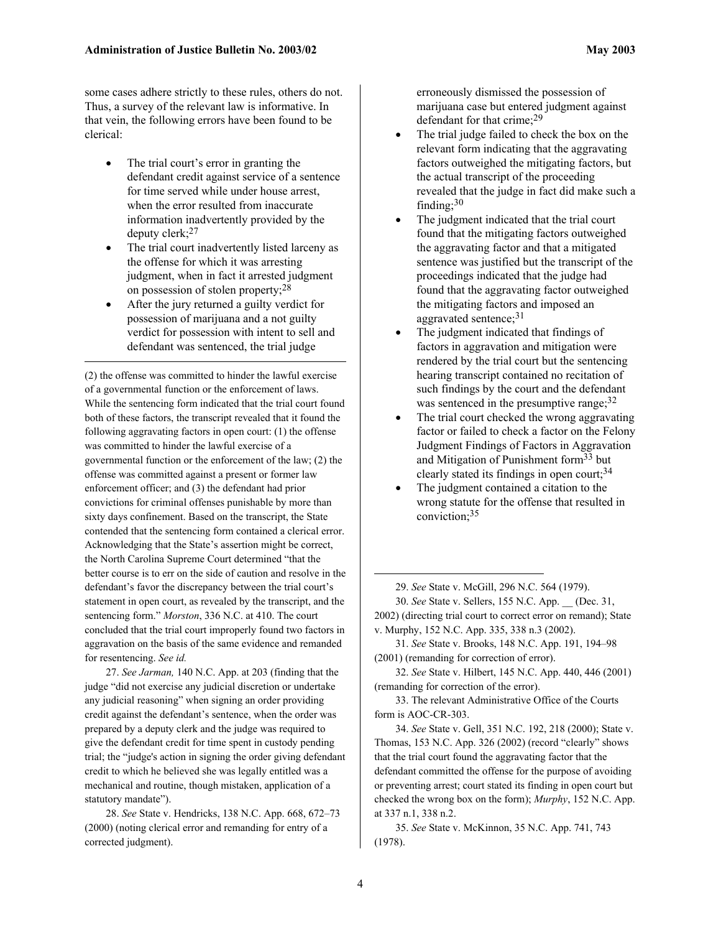some cases adhere strictly to these rules, others do not. Thus, a survey of the relevant law is informative. In that vein, the following errors have been found to be clerical:

- The trial court's error in granting the defendant credit against service of a sentence for time served while under house arrest, when the error resulted from inaccurate information inadvertently provided by the deputy clerk;[27](#page-3-0)
- The trial court inadvertently listed larceny as the offense for which it was arresting judgment, when in fact it arrested judgment on possession of stolen property;<sup>28</sup>
- After the jury returned a guilty verdict for possession of marijuana and a not guilty verdict for possession with intent to sell and defendant was sentenced, the trial judge

 $\overline{a}$ 

(2) the offense was committed to hinder the lawful exercise of a governmental function or the enforcement of laws. While the sentencing form indicated that the trial court found both of these factors, the transcript revealed that it found the following aggravating factors in open court: (1) the offense was committed to hinder the lawful exercise of a governmental function or the enforcement of the law; (2) the offense was committed against a present or former law enforcement officer; and (3) the defendant had prior convictions for criminal offenses punishable by more than sixty days confinement. Based on the transcript, the State contended that the sentencing form contained a clerical error. Acknowledging that the State's assertion might be correct, the North Carolina Supreme Court determined "that the better course is to err on the side of caution and resolve in the defendant's favor the discrepancy between the trial court's statement in open court, as revealed by the transcript, and the sentencing form." *Morston*, 336 N.C. at 410. The court concluded that the trial court improperly found two factors in aggravation on the basis of the same evidence and remanded for resentencing. *See id.*

<span id="page-3-0"></span>27. *See Jarman,* 140 N.C. App. at 203 (finding that the judge "did not exercise any judicial discretion or undertake any judicial reasoning" when signing an order providing credit against the defendant's sentence, when the order was prepared by a deputy clerk and the judge was required to give the defendant credit for time spent in custody pending trial; the "judge's action in signing the order giving defendant credit to which he believed she was legally entitled was a mechanical and routine, though mistaken, application of a statutory mandate").

<span id="page-3-1"></span>28. *See* State v. Hendricks, 138 N.C. App. 668, 672–73 (2000) (noting clerical error and remanding for entry of a corrected judgment).

erroneously dismissed the possession of marijuana case but entered judgment against defendant for that crime;[29](#page-3-2)

- The trial judge failed to check the box on the relevant form indicating that the aggravating factors outweighed the mitigating factors, but the actual transcript of the proceeding revealed that the judge in fact did make such a finding; $30$
- The judgment indicated that the trial court found that the mitigating factors outweighed the aggravating factor and that a mitigated sentence was justified but the transcript of the proceedings indicated that the judge had found that the aggravating factor outweighed the mitigating factors and imposed an aggravated sentence;<sup>31</sup>
- The judgment indicated that findings of factors in aggravation and mitigation were rendered by the trial court but the sentencing hearing transcript contained no recitation of such findings by the court and the defendant was sentenced in the presumptive range;  $32$
- The trial court checked the wrong aggravating factor or failed to check a factor on the Felony Judgment Findings of Factors in Aggravation and Mitigation of Punishment form[33 b](#page-3-6)ut clearly stated its findings in open court;<sup>34</sup>
- The judgment contained a citation to the wrong statute for the offense that resulted in conviction; [35](#page-3-8)

30. *See* State v. Sellers, 155 N.C. App. \_\_ (Dec. 31, 2002) (directing trial court to correct error on remand); State v. Murphy, 152 N.C. App. 335, 338 n.3 (2002).

<span id="page-3-4"></span>31. *See* State v. Brooks, 148 N.C. App. 191, 194–98 (2001) (remanding for correction of error).

<span id="page-3-5"></span>32. *See* State v. Hilbert, 145 N.C. App. 440, 446 (2001) (remanding for correction of the error).

<span id="page-3-6"></span>33. The relevant Administrative Office of the Courts form is AOC-CR-303.

<span id="page-3-7"></span>34. *See* State v. Gell, 351 N.C. 192, 218 (2000); State v. Thomas, 153 N.C. App. 326 (2002) (record "clearly" shows that the trial court found the aggravating factor that the defendant committed the offense for the purpose of avoiding or preventing arrest; court stated its finding in open court but checked the wrong box on the form); *Murphy*, 152 N.C. App. at 337 n.1, 338 n.2.

<span id="page-3-8"></span>35. *See* State v. McKinnon, 35 N.C. App. 741, 743 (1978).

 $\overline{a}$ 

<span id="page-3-3"></span><span id="page-3-2"></span><sup>29.</sup> *See* State v. McGill, 296 N.C. 564 (1979).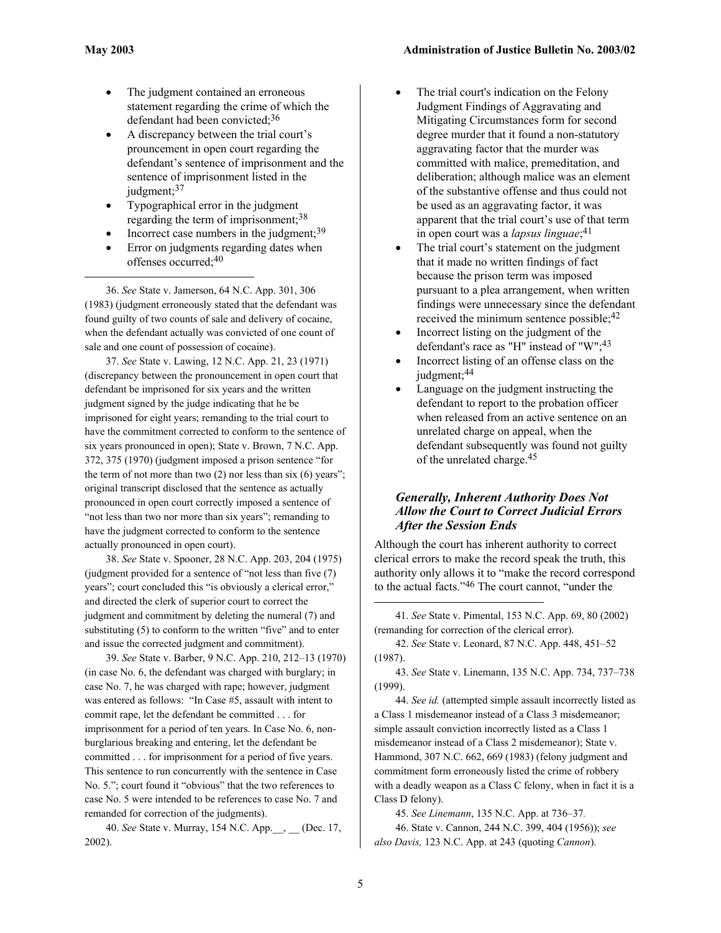$\overline{a}$ 

- The judgment contained an erroneous statement regarding the crime of which the defendant had been convicted; [36](#page-4-0)
- A discrepancy between the trial court's prouncement in open court regarding the defendant's sentence of imprisonment and the sentence of imprisonment listed in the judgment;<sup>[37](#page-4-1)</sup>
- Typographical error in the judgment regarding the term of imprisonment;<sup>[38](#page-4-2)</sup>
- Incorrect case numbers in the judgment; $39$
- Error on judgments regarding dates when offenses occurred;[40](#page-4-4)

<span id="page-4-0"></span>36. *See* State v. Jamerson, 64 N.C. App. 301, 306 (1983) (judgment erroneously stated that the defendant was found guilty of two counts of sale and delivery of cocaine, when the defendant actually was convicted of one count of sale and one count of possession of cocaine).

<span id="page-4-1"></span>37. *See* State v. Lawing, 12 N.C. App. 21, 23 (1971) (discrepancy between the pronouncement in open court that defendant be imprisoned for six years and the written judgment signed by the judge indicating that he be imprisoned for eight years; remanding to the trial court to have the commitment corrected to conform to the sentence of six years pronounced in open); State v. Brown, 7 N.C. App. 372, 375 (1970) (judgment imposed a prison sentence "for the term of not more than two  $(2)$  nor less than six  $(6)$  years"; original transcript disclosed that the sentence as actually pronounced in open court correctly imposed a sentence of "not less than two nor more than six years"; remanding to have the judgment corrected to conform to the sentence actually pronounced in open court).

<span id="page-4-2"></span>38. *See* State v. Spooner, 28 N.C. App. 203, 204 (1975) (judgment provided for a sentence of "not less than five (7) years"; court concluded this "is obviously a clerical error," and directed the clerk of superior court to correct the judgment and commitment by deleting the numeral (7) and substituting (5) to conform to the written "five" and to enter and issue the corrected judgment and commitment).

<span id="page-4-3"></span>39. *See* State v. Barber, 9 N.C. App. 210, 212–13 (1970) (in case No. 6, the defendant was charged with burglary; in case No. 7, he was charged with rape; however, judgment was entered as follows: "In Case #5, assault with intent to commit rape, let the defendant be committed . . . for imprisonment for a period of ten years. In Case No. 6, nonburglarious breaking and entering, let the defendant be committed . . . for imprisonment for a period of five years. This sentence to run concurrently with the sentence in Case No. 5."; court found it "obvious" that the two references to case No. 5 were intended to be references to case No. 7 and remanded for correction of the judgments).

<span id="page-4-4"></span>40. *See* State v. Murray, 154 N.C. App.\_\_, \_\_ (Dec. 17, 2002).

- The trial court's indication on the Felony Judgment Findings of Aggravating and Mitigating Circumstances form for second degree murder that it found a non-statutory aggravating factor that the murder was committed with malice, premeditation, and deliberation; although malice was an element of the substantive offense and thus could not be used as an aggravating factor, it was apparent that the trial court's use of that term in open court was a *lapsus linguae*; [41](#page-4-5)
- The trial court's statement on the judgment that it made no written findings of fact because the prison term was imposed pursuant to a plea arrangement, when written findings were unnecessary since the defendant received the minimum sentence possible;  $42$
- Incorrect listing on the judgment of the defendant's race as "H" instead of "W";[43](#page-4-7)
- Incorrect listing of an offense class on the judgment;<sup>[44](#page-4-8)</sup>
- Language on the judgment instructing the defendant to report to the probation officer when released from an active sentence on an unrelated charge on appeal, when the defendant subsequently was found not guilty of the unrelated charge. [45](#page-4-9)

#### *Generally, Inherent Authority Does Not Allow the Court to Correct Judicial Errors After the Session Ends*

Although the court has inherent authority to correct clerical errors to make the record speak the truth, this authority only allows it to "make the record correspond to the actual facts.["46 T](#page-4-10)he court cannot, "under the

<span id="page-4-5"></span>41. *See* State v. Pimental, 153 N.C. App. 69, 80 (2002) (remanding for correction of the clerical error).

<span id="page-4-6"></span>42. *See* State v. Leonard, 87 N.C. App. 448, 451–52 (1987).

<span id="page-4-7"></span>43. *See* State v. Linemann, 135 N.C. App. 734, 737–738 (1999).

<span id="page-4-8"></span>44. *See id.* (attempted simple assault incorrectly listed as a Class 1 misdemeanor instead of a Class 3 misdemeanor; simple assault conviction incorrectly listed as a Class 1 misdemeanor instead of a Class 2 misdemeanor); State v. Hammond, 307 N.C. 662, 669 (1983) (felony judgment and commitment form erroneously listed the crime of robbery with a deadly weapon as a Class C felony, when in fact it is a Class D felony).

<span id="page-4-10"></span><span id="page-4-9"></span>45. *See Linemann*, 135 N.C. App. at 736–37*.*  46. State v. Cannon, 244 N.C. 399, 404 (1956)); *see also Davis,* 123 N.C. App. at 243 (quoting *Cannon*).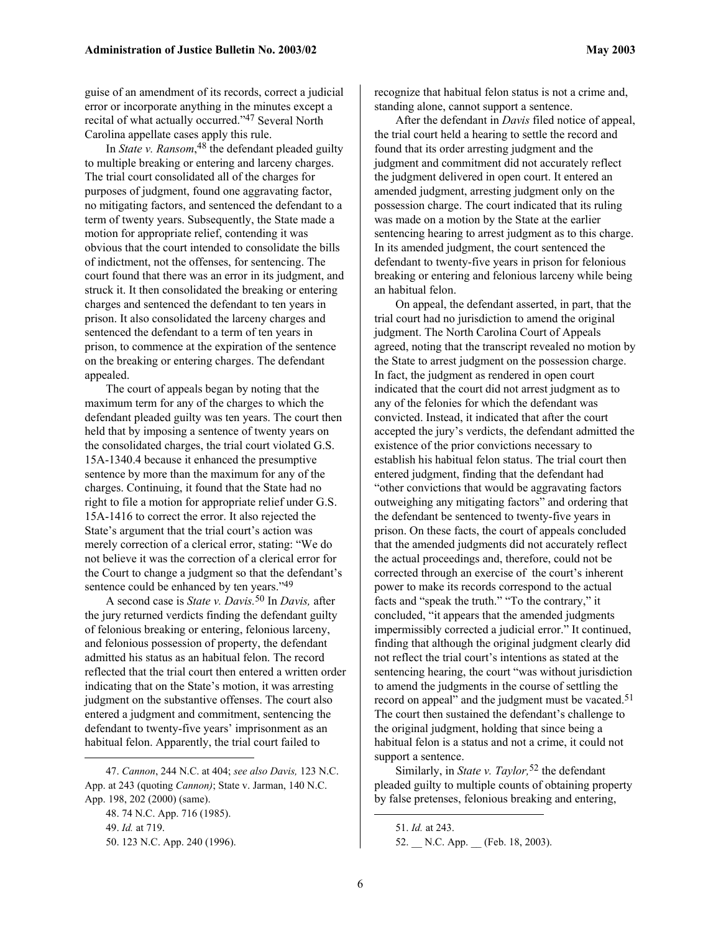guise of an amendment of its records, correct a judicial error or incorporate anything in the minutes except a recital of what actually occurred."[47 S](#page-5-0)everal North Carolina appellate cases apply this rule.

In *State v. Ransom*, [48](#page-5-1) the defendant pleaded guilty to multiple breaking or entering and larceny charges. The trial court consolidated all of the charges for purposes of judgment, found one aggravating factor, no mitigating factors, and sentenced the defendant to a term of twenty years. Subsequently, the State made a motion for appropriate relief, contending it was obvious that the court intended to consolidate the bills of indictment, not the offenses, for sentencing. The court found that there was an error in its judgment, and struck it. It then consolidated the breaking or entering charges and sentenced the defendant to ten years in prison. It also consolidated the larceny charges and sentenced the defendant to a term of ten years in prison, to commence at the expiration of the sentence on the breaking or entering charges. The defendant appealed.

The court of appeals began by noting that the maximum term for any of the charges to which the defendant pleaded guilty was ten years. The court then held that by imposing a sentence of twenty years on the consolidated charges, the trial court violated G.S. 15A-1340.4 because it enhanced the presumptive sentence by more than the maximum for any of the charges. Continuing, it found that the State had no right to file a motion for appropriate relief under G.S. 15A-1416 to correct the error. It also rejected the State's argument that the trial court's action was merely correction of a clerical error, stating: "We do not believe it was the correction of a clerical error for the Court to change a judgment so that the defendant's sentence could be enhanced by ten years."[49](#page-5-2)

A second case is *State v. Davis.*[50](#page-5-3) In *Davis,* after the jury returned verdicts finding the defendant guilty of felonious breaking or entering, felonious larceny, and felonious possession of property, the defendant admitted his status as an habitual felon. The record reflected that the trial court then entered a written order indicating that on the State's motion, it was arresting judgment on the substantive offenses. The court also entered a judgment and commitment, sentencing the defendant to twenty-five years' imprisonment as an habitual felon. Apparently, the trial court failed to

<span id="page-5-3"></span><span id="page-5-2"></span><span id="page-5-1"></span>48. 74 N.C. App. 716 (1985). 49. *Id.* at 719. 50. 123 N.C. App. 240 (1996).

1

recognize that habitual felon status is not a crime and, standing alone, cannot support a sentence.

After the defendant in *Davis* filed notice of appeal, the trial court held a hearing to settle the record and found that its order arresting judgment and the judgment and commitment did not accurately reflect the judgment delivered in open court. It entered an amended judgment, arresting judgment only on the possession charge. The court indicated that its ruling was made on a motion by the State at the earlier sentencing hearing to arrest judgment as to this charge. In its amended judgment, the court sentenced the defendant to twenty-five years in prison for felonious breaking or entering and felonious larceny while being an habitual felon.

On appeal, the defendant asserted, in part, that the trial court had no jurisdiction to amend the original judgment. The North Carolina Court of Appeals agreed, noting that the transcript revealed no motion by the State to arrest judgment on the possession charge. In fact, the judgment as rendered in open court indicated that the court did not arrest judgment as to any of the felonies for which the defendant was convicted. Instead, it indicated that after the court accepted the jury's verdicts, the defendant admitted the existence of the prior convictions necessary to establish his habitual felon status. The trial court then entered judgment, finding that the defendant had "other convictions that would be aggravating factors outweighing any mitigating factors" and ordering that the defendant be sentenced to twenty-five years in prison. On these facts, the court of appeals concluded that the amended judgments did not accurately reflect the actual proceedings and, therefore, could not be corrected through an exercise of the court's inherent power to make its records correspond to the actual facts and "speak the truth." "To the contrary," it concluded, "it appears that the amended judgments impermissibly corrected a judicial error." It continued, finding that although the original judgment clearly did not reflect the trial court's intentions as stated at the sentencing hearing, the court "was without jurisdiction to amend the judgments in the course of settling the record on appeal" and the judgment must be vacated.<sup>51</sup> The court then sustained the defendant's challenge to the original judgment, holding that since being a habitual felon is a status and not a crime, it could not support a sentence.

Similarly, in *State v. Taylor*,<sup>[52](#page-5-5)</sup> the defendant pleaded guilty to multiple counts of obtaining property by false pretenses, felonious breaking and entering,

 $\overline{a}$ 

<span id="page-5-0"></span><sup>47.</sup> *Cannon*, 244 N.C. at 404; *see also Davis,* 123 N.C. App. at 243 (quoting *Cannon)*; State v. Jarman, 140 N.C. App. 198, 202 (2000) (same).

<span id="page-5-5"></span><span id="page-5-4"></span><sup>51.</sup> *Id.* at 243. 52. N.C. App. (Feb. 18, 2003).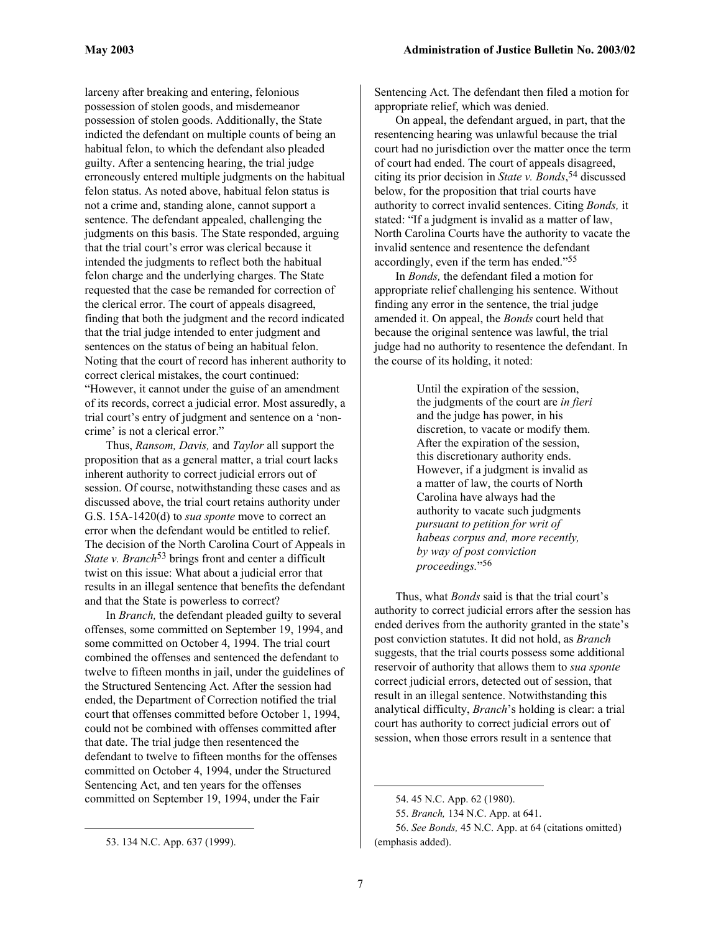larceny after breaking and entering, felonious possession of stolen goods, and misdemeanor possession of stolen goods. Additionally, the State indicted the defendant on multiple counts of being an habitual felon, to which the defendant also pleaded guilty. After a sentencing hearing, the trial judge erroneously entered multiple judgments on the habitual felon status. As noted above, habitual felon status is not a crime and, standing alone, cannot support a sentence. The defendant appealed, challenging the judgments on this basis. The State responded, arguing that the trial court's error was clerical because it intended the judgments to reflect both the habitual felon charge and the underlying charges. The State requested that the case be remanded for correction of the clerical error. The court of appeals disagreed, finding that both the judgment and the record indicated that the trial judge intended to enter judgment and sentences on the status of being an habitual felon. Noting that the court of record has inherent authority to correct clerical mistakes, the court continued: "However, it cannot under the guise of an amendment of its records, correct a judicial error. Most assuredly, a trial court's entry of judgment and sentence on a 'noncrime' is not a clerical error."

Thus, *Ransom, Davis,* and *Taylor* all support the proposition that as a general matter, a trial court lacks inherent authority to correct judicial errors out of session. Of course, notwithstanding these cases and as discussed above, the trial court retains authority under G.S. 15A-1420(d) to *sua sponte* move to correct an error when the defendant would be entitled to relief. The decision of the North Carolina Court of Appeals in *State v. Branch*<sup>53</sup> brings front and center a difficult twist on this issue: What about a judicial error that results in an illegal sentence that benefits the defendant and that the State is powerless to correct?

In *Branch,* the defendant pleaded guilty to several offenses, some committed on September 19, 1994, and some committed on October 4, 1994. The trial court combined the offenses and sentenced the defendant to twelve to fifteen months in jail, under the guidelines of the Structured Sentencing Act. After the session had ended, the Department of Correction notified the trial court that offenses committed before October 1, 1994, could not be combined with offenses committed after that date. The trial judge then resentenced the defendant to twelve to fifteen months for the offenses committed on October 4, 1994, under the Structured Sentencing Act, and ten years for the offenses committed on September 19, 1994, under the Fair

1

Sentencing Act. The defendant then filed a motion for appropriate relief, which was denied.

On appeal, the defendant argued, in part, that the resentencing hearing was unlawful because the trial court had no jurisdiction over the matter once the term of court had ended. The court of appeals disagreed, citing its prior decision in *State v. Bonds*, [54](#page-6-1) discussed below, for the proposition that trial courts have authority to correct invalid sentences. Citing *Bonds,* it stated: "If a judgment is invalid as a matter of law, North Carolina Courts have the authority to vacate the invalid sentence and resentence the defendant accordingly, even if the term has ended.["55](#page-6-2) 

In *Bonds,* the defendant filed a motion for appropriate relief challenging his sentence. Without finding any error in the sentence, the trial judge amended it. On appeal, the *Bonds* court held that because the original sentence was lawful, the trial judge had no authority to resentence the defendant. In the course of its holding, it noted:

> Until the expiration of the session, the judgments of the court are *in fieri*  and the judge has power, in his discretion, to vacate or modify them. After the expiration of the session, this discretionary authority ends. However, if a judgment is invalid as a matter of law, the courts of North Carolina have always had the authority to vacate such judgments *pursuant to petition for writ of habeas corpus and, more recently, by way of post conviction proceedings.*"[56](#page-6-3)

Thus, what *Bonds* said is that the trial court's authority to correct judicial errors after the session has ended derives from the authority granted in the state's post conviction statutes. It did not hold, as *Branch*  suggests, that the trial courts possess some additional reservoir of authority that allows them to *sua sponte* correct judicial errors, detected out of session, that result in an illegal sentence. Notwithstanding this analytical difficulty, *Branch*'s holding is clear: a trial court has authority to correct judicial errors out of session, when those errors result in a sentence that

<span id="page-6-0"></span><sup>53. 134</sup> N.C. App. 637 (1999).

<span id="page-6-1"></span><sup>54. 45</sup> N.C. App. 62 (1980).

<span id="page-6-3"></span><span id="page-6-2"></span><sup>55.</sup> *Branch,* 134 N.C. App. at 641.

<sup>56.</sup> *See Bonds,* 45 N.C. App. at 64 (citations omitted) (emphasis added).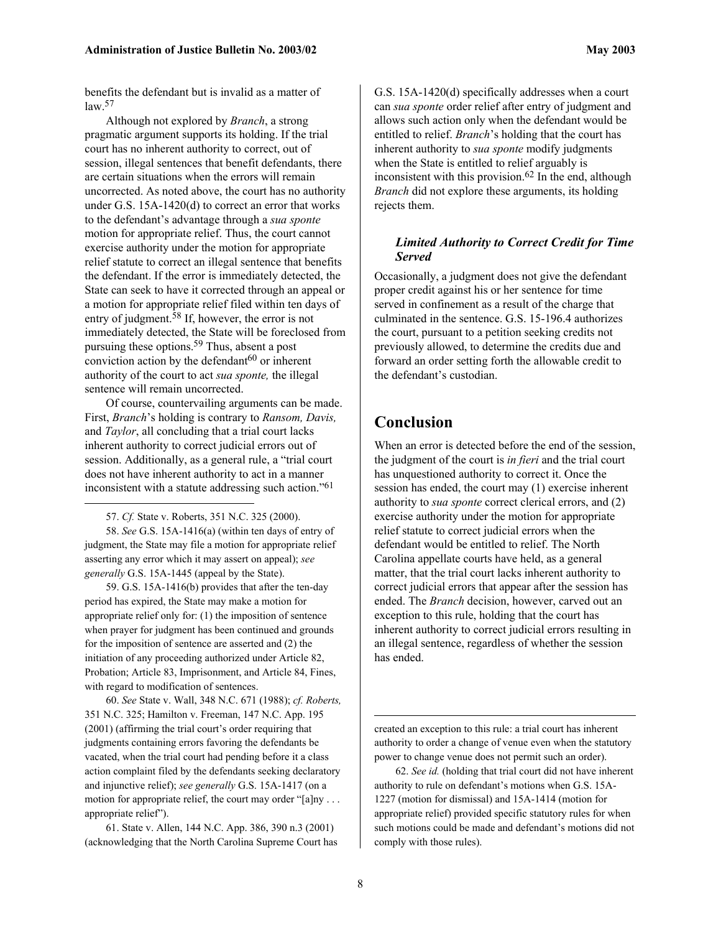benefits the defendant but is invalid as a matter of  $law<sup>57</sup>$  $law<sup>57</sup>$  $law<sup>57</sup>$ 

Although not explored by *Branch*, a strong pragmatic argument supports its holding. If the trial court has no inherent authority to correct, out of session, illegal sentences that benefit defendants, there are certain situations when the errors will remain uncorrected. As noted above, the court has no authority under G.S. 15A-1420(d) to correct an error that works to the defendant's advantage through a *sua sponte* motion for appropriate relief. Thus, the court cannot exercise authority under the motion for appropriate relief statute to correct an illegal sentence that benefits the defendant. If the error is immediately detected, the State can seek to have it corrected through an appeal or a motion for appropriate relief filed within ten days of entry of judgment. [58 I](#page-7-1)f, however, the error is not immediately detected, the State will be foreclosed from pursuing these options. [59](#page-7-2) Thus, absent a post conviction action by the defendant $60$  or inherent authority of the court to act *sua sponte,* the illegal sentence will remain uncorrected.

Of course, countervailing arguments can be made. First, *Branch*'s holding is contrary to *Ransom, Davis,*  and *Taylor*, all concluding that a trial court lacks inherent authority to correct judicial errors out of session. Additionally, as a general rule, a "trial court does not have inherent authority to act in a manner inconsistent with a statute addressing such action."[61](#page-7-4)

<span id="page-7-1"></span><span id="page-7-0"></span>57. *Cf.* State v. Roberts, 351 N.C. 325 (2000).

1

58. *See* G.S. 15A-1416(a) (within ten days of entry of judgment, the State may file a motion for appropriate relief asserting any error which it may assert on appeal); *see generally* G.S. 15A-1445 (appeal by the State).

<span id="page-7-2"></span>59. G.S. 15A-1416(b) provides that after the ten-day period has expired, the State may make a motion for appropriate relief only for: (1) the imposition of sentence when prayer for judgment has been continued and grounds for the imposition of sentence are asserted and (2) the initiation of any proceeding authorized under Article 82, Probation; Article 83, Imprisonment, and Article 84, Fines, with regard to modification of sentences.

<span id="page-7-3"></span>60. *See* State v. Wall, 348 N.C. 671 (1988); *cf. Roberts,* 351 N.C. 325; Hamilton v. Freeman, 147 N.C. App. 195 (2001) (affirming the trial court's order requiring that judgments containing errors favoring the defendants be vacated, when the trial court had pending before it a class action complaint filed by the defendants seeking declaratory and injunctive relief); *see generally* G.S. 15A-1417 (on a motion for appropriate relief, the court may order "[a]ny ... appropriate relief").

<span id="page-7-4"></span>61. State v. Allen, 144 N.C. App. 386, 390 n.3 (2001) (acknowledging that the North Carolina Supreme Court has G.S. 15A-1420(d) specifically addresses when a court can *sua sponte* order relief after entry of judgment and allows such action only when the defendant would be entitled to relief. *Branch*'s holding that the court has inherent authority to *sua sponte* modify judgments when the State is entitled to relief arguably is inconsistent with this provision. [62 I](#page-7-5)n the end, although *Branch* did not explore these arguments, its holding rejects them.

#### *Limited Authority to Correct Credit for Time Served*

Occasionally, a judgment does not give the defendant proper credit against his or her sentence for time served in confinement as a result of the charge that culminated in the sentence. G.S. 15-196.4 authorizes the court, pursuant to a petition seeking credits not previously allowed, to determine the credits due and forward an order setting forth the allowable credit to the defendant's custodian.

# **Conclusion**

When an error is detected before the end of the session, the judgment of the court is *in fieri* and the trial court has unquestioned authority to correct it. Once the session has ended, the court may (1) exercise inherent authority to *sua sponte* correct clerical errors, and (2) exercise authority under the motion for appropriate relief statute to correct judicial errors when the defendant would be entitled to relief. The North Carolina appellate courts have held, as a general matter, that the trial court lacks inherent authority to correct judicial errors that appear after the session has ended. The *Branch* decision, however, carved out an exception to this rule, holding that the court has inherent authority to correct judicial errors resulting in an illegal sentence, regardless of whether the session has ended.

created an exception to this rule: a trial court has inherent authority to order a change of venue even when the statutory power to change venue does not permit such an order).

<span id="page-7-5"></span>62. *See id.* (holding that trial court did not have inherent authority to rule on defendant's motions when G.S. 15A-1227 (motion for dismissal) and 15A-1414 (motion for appropriate relief) provided specific statutory rules for when such motions could be made and defendant's motions did not comply with those rules).